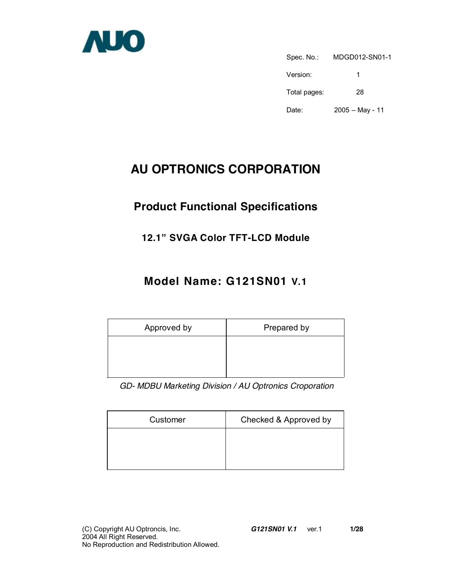

Spec. No.: MDGD012-SN01-1 Version: 1 Total pages: 28 Date: 2005 – May - 11

# **AU OPTRONICS CORPORATION**

# **Product Functional Specifications**

## **12.1" SVGA Color TFT-LCD Module**

# **Model Name: G121SN01 V.1**

| Approved by | Prepared by |
|-------------|-------------|
|             |             |
|             |             |

*GD- MDBU Marketing Division / AU Optronics Croporation* 

| Customer | Checked & Approved by |
|----------|-----------------------|
|          |                       |
|          |                       |
|          |                       |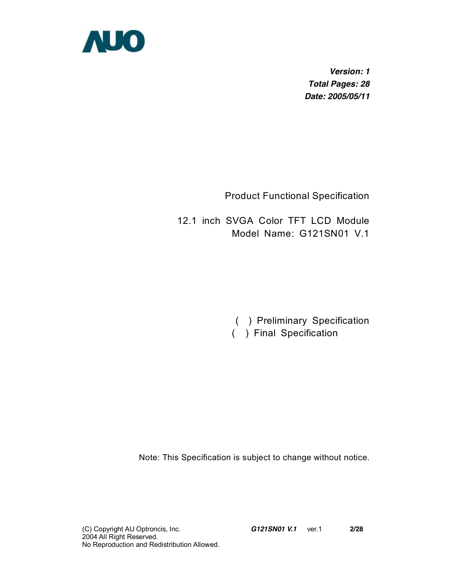

*Version: 1 Total Pages: 28 Date: 2005/05/11* 

Product Functional Specification

12.1 inch SVGA Color TFT LCD Module Model Name: G121SN01 V.1

> ( ) Preliminary Specification ( ) Final Specification

Note: This Specification is subject to change without notice.

(C) Copyright AU Optroncis, Inc.*G121SN01 V.1*ver.1 **2/28**  2004 All Right Reserved. No Reproduction and Redistribution Allowed.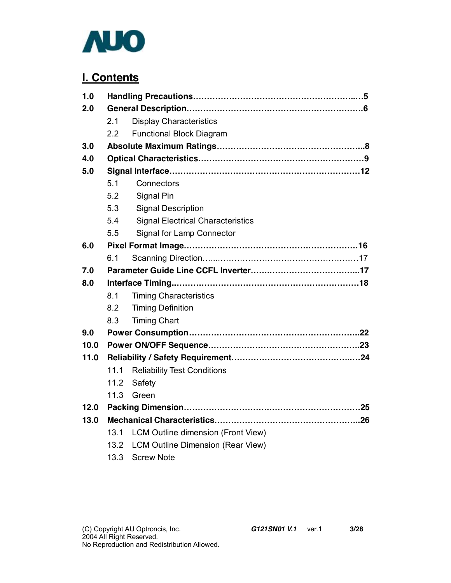

## **I. Contents**

| 1.0  |      |                                          |  |
|------|------|------------------------------------------|--|
| 2.0  |      |                                          |  |
|      | 2.1  | <b>Display Characteristics</b>           |  |
|      | 2.2  | <b>Functional Block Diagram</b>          |  |
| 3.0  |      |                                          |  |
| 4.0  |      |                                          |  |
| 5.0  |      |                                          |  |
|      | 5.1  | Connectors                               |  |
|      | 5.2  | Signal Pin                               |  |
|      | 5.3  | <b>Signal Description</b>                |  |
|      | 5.4  | <b>Signal Electrical Characteristics</b> |  |
|      | 5.5  | Signal for Lamp Connector                |  |
| 6.0  |      |                                          |  |
|      | 6.1  |                                          |  |
| 7.0  |      |                                          |  |
| 8.0  |      |                                          |  |
|      | 8.1  | <b>Timing Characteristics</b>            |  |
|      | 8.2  | <b>Timing Definition</b>                 |  |
|      | 8.3  | <b>Timing Chart</b>                      |  |
| 9.0  |      |                                          |  |
| 10.0 |      |                                          |  |
| 11.0 |      |                                          |  |
|      | 11.1 | <b>Reliability Test Conditions</b>       |  |
|      | 11.2 | Safety                                   |  |
|      | 11.3 | Green                                    |  |
| 12.0 |      |                                          |  |
|      |      |                                          |  |
| 13.0 |      |                                          |  |
|      | 13.1 | LCM Outline dimension (Front View)       |  |
|      | 13.2 | LCM Outline Dimension (Rear View)        |  |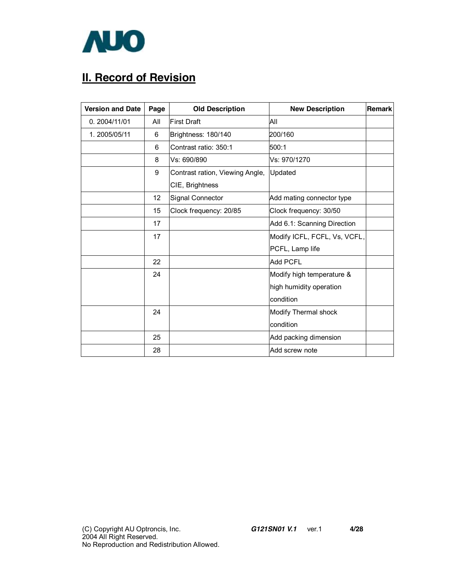

# **II. Record of Revision**

| <b>Version and Date</b> | Page | <b>Old Description</b>          | <b>New Description</b>       | <b>Remark</b> |
|-------------------------|------|---------------------------------|------------------------------|---------------|
| 0.2004/11/01            | All  | First Draft                     | All                          |               |
| 1.2005/05/11            | 6    | Brightness: 180/140             | 200/160                      |               |
|                         | 6    | Contrast ratio: 350:1           | 500:1                        |               |
|                         | 8    | Vs: 690/890                     | Vs: 970/1270                 |               |
|                         | 9    | Contrast ration, Viewing Angle, | Updated                      |               |
|                         |      | CIE, Brightness                 |                              |               |
|                         | 12   | Signal Connector                | Add mating connector type    |               |
|                         | 15   | Clock frequency: 20/85          | Clock frequency: 30/50       |               |
|                         | 17   |                                 | Add 6.1: Scanning Direction  |               |
|                         | 17   |                                 | Modify ICFL, FCFL, Vs, VCFL, |               |
|                         |      |                                 | PCFL, Lamp life              |               |
|                         | 22   |                                 | <b>Add PCFL</b>              |               |
|                         | 24   |                                 | Modify high temperature &    |               |
|                         |      |                                 | high humidity operation      |               |
|                         |      |                                 | condition                    |               |
|                         | 24   |                                 | Modify Thermal shock         |               |
|                         |      |                                 | condition                    |               |
|                         | 25   |                                 | Add packing dimension        |               |
|                         | 28   |                                 | Add screw note               |               |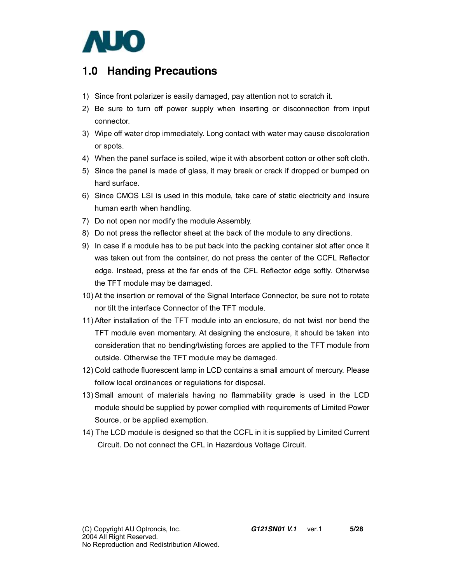

## **1.0 Handing Precautions**

- 1) Since front polarizer is easily damaged, pay attention not to scratch it.
- 2) Be sure to turn off power supply when inserting or disconnection from input connector.
- 3) Wipe off water drop immediately. Long contact with water may cause discoloration or spots.
- 4) When the panel surface is soiled, wipe it with absorbent cotton or other soft cloth.
- 5) Since the panel is made of glass, it may break or crack if dropped or bumped on hard surface.
- 6) Since CMOS LSI is used in this module, take care of static electricity and insure human earth when handling.
- 7) Do not open nor modify the module Assembly.
- 8) Do not press the reflector sheet at the back of the module to any directions.
- 9) In case if a module has to be put back into the packing container slot after once it was taken out from the container, do not press the center of the CCFL Reflector edge. Instead, press at the far ends of the CFL Reflector edge softly. Otherwise the TFT module may be damaged.
- 10) At the insertion or removal of the Signal Interface Connector, be sure not to rotate nor tilt the interface Connector of the TFT module.
- 11) After installation of the TFT module into an enclosure, do not twist nor bend the TFT module even momentary. At designing the enclosure, it should be taken into consideration that no bending/twisting forces are applied to the TFT module from outside. Otherwise the TFT module may be damaged.
- 12) Cold cathode fluorescent lamp in LCD contains a small amount of mercury. Please follow local ordinances or regulations for disposal.
- 13) Small amount of materials having no flammability grade is used in the LCD module should be supplied by power complied with requirements of Limited Power Source, or be applied exemption.
- 14) The LCD module is designed so that the CCFL in it is supplied by Limited Current Circuit. Do not connect the CFL in Hazardous Voltage Circuit.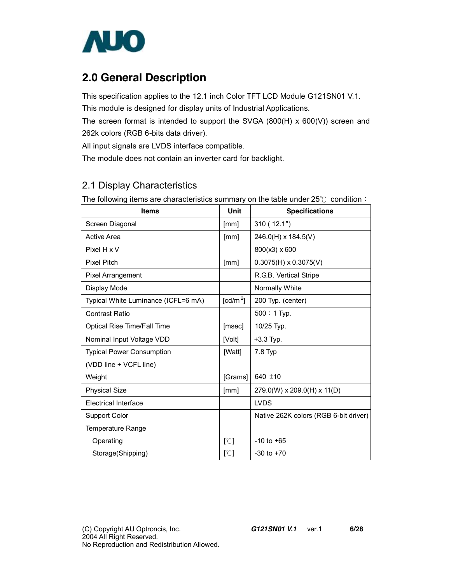

## **2.0 General Description**

This specification applies to the 12.1 inch Color TFT LCD Module G121SN01 V.1. This module is designed for display units of Industrial Applications.

The screen format is intended to support the SVGA (800(H) x 600(V)) screen and 262k colors (RGB 6-bits data driver).

All input signals are LVDS interface compatible.

The module does not contain an inverter card for backlight.

### 2.1 Display Characteristics

The following items are characteristics summary on the table under 25℃ condition:

| <b>Items</b>                        | Unit                     | <b>Specifications</b>                 |
|-------------------------------------|--------------------------|---------------------------------------|
| Screen Diagonal                     | [mm]                     | 310(12.1")                            |
| <b>Active Area</b>                  | [mm]                     | 246.0(H) x 184.5(V)                   |
| Pixel H x V                         |                          | 800(x3) x 600                         |
| <b>Pixel Pitch</b>                  | [mm]                     | $0.3075(H) \times 0.3075(V)$          |
| Pixel Arrangement                   |                          | R.G.B. Vertical Stripe                |
| Display Mode                        |                          | Normally White                        |
| Typical White Luminance (ICFL=6 mA) | $\text{[cd/m}^2\text{]}$ | 200 Typ. (center)                     |
| <b>Contrast Ratio</b>               |                          | $500:1$ Typ.                          |
| <b>Optical Rise Time/Fall Time</b>  | [msec]                   | 10/25 Typ.                            |
| Nominal Input Voltage VDD           | [Volt]                   | +3.3 Typ.                             |
| <b>Typical Power Consumption</b>    | [Watt]                   | 7.8 Typ                               |
| (VDD line + VCFL line)              |                          |                                       |
| Weight                              | [Grams]                  | 640 ±10                               |
| <b>Physical Size</b>                | [mm]                     | 279.0(W) x 209.0(H) x 11(D)           |
| <b>Electrical Interface</b>         |                          | <b>LVDS</b>                           |
| Support Color                       |                          | Native 262K colors (RGB 6-bit driver) |
| Temperature Range                   |                          |                                       |
| Operating                           | [°C]                     | $-10$ to $+65$                        |
| Storage(Shipping)                   | [°C]                     | $-30$ to $+70$                        |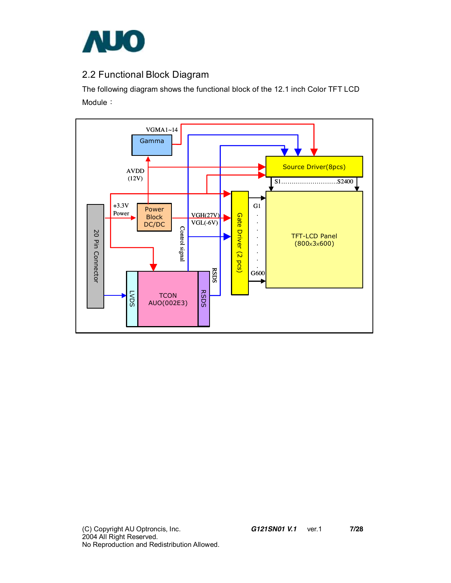

## 2.2 Functional Block Diagram

The following diagram shows the functional block of the 12.1 inch Color TFT LCD Module:

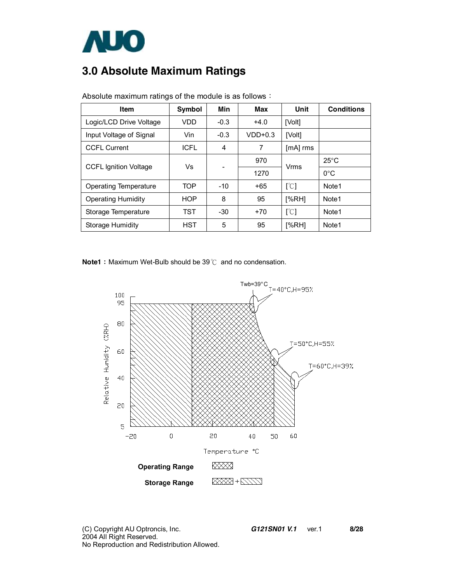

# **3.0 Absolute Maximum Ratings**

| <b>Item</b>                  | <b>Symbol</b> | Min    | Max       | Unit                      | <b>Conditions</b> |
|------------------------------|---------------|--------|-----------|---------------------------|-------------------|
| Logic/LCD Drive Voltage      | VDD           | $-0.3$ | $+4.0$    | [Volt]                    |                   |
| Input Voltage of Signal      | Vin           | $-0.3$ | $VDD+0.3$ | [Volt]                    |                   |
| <b>CCFL Current</b>          | <b>ICFL</b>   | 4      | 7         | $[mA]$ rms                |                   |
| <b>CCFL Ignition Voltage</b> | Vs            |        | 970       | Vrms                      | $25^{\circ}$ C    |
|                              |               |        | 1270      |                           | $0^{\circ}$ C     |
| Operating Temperature        | <b>TOP</b>    | $-10$  | $+65$     | [°C]                      | Note1             |
| <b>Operating Humidity</b>    | <b>HOP</b>    | 8      | 95        | [%RH]                     | Note <sub>1</sub> |
| Storage Temperature          | TST           | $-30$  | $+70$     | $\lceil \text{°C} \rceil$ | Note <sub>1</sub> |
| <b>Storage Humidity</b>      | <b>HST</b>    | 5      | 95        | [%RH]                     | Note <sub>1</sub> |

Absolute maximum ratings of the module is as follows:

**Note1**: Maximum Wet-Bulb should be 39 ℃ and no condensation.

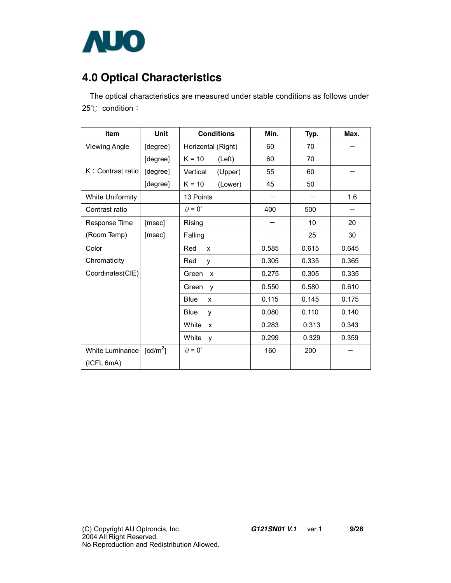

# **4.0 Optical Characteristics**

The optical characteristics are measured under stable conditions as follows under 25℃ condition:

| <b>Item</b>             | Unit                 | <b>Conditions</b>                  | Min.  | Typ.  | Max.  |
|-------------------------|----------------------|------------------------------------|-------|-------|-------|
| <b>Viewing Angle</b>    | [degree]             | Horizontal (Right)                 | 60    | 70    |       |
|                         | [degree]             | $K = 10$<br>(Left)                 | 60    | 70    |       |
| K: Contrast ratio       | [degree]             | Vertical<br>(Upper)                | 55    | 60    |       |
|                         | [degree]             | $K = 10$<br>(Lower)                | 45    | 50    |       |
| <b>White Uniformity</b> |                      | 13 Points                          |       |       | 1.6   |
| Contrast ratio          |                      | $\theta = 0^{\circ}$               | 400   | 500   |       |
| Response Time           | [msec]               | Rising                             |       | 10    | 20    |
| (Room Temp)             | [msec]               | Falling                            |       | 25    | 30    |
| Color                   |                      | Red<br>X                           | 0.585 | 0.615 | 0.645 |
| Chromaticity            |                      | Red<br>y                           | 0.305 | 0.335 | 0.365 |
| Coordinates(CIE)        |                      | Green<br>$\boldsymbol{\mathsf{x}}$ | 0.275 | 0.305 | 0.335 |
|                         |                      | Green<br>y                         | 0.550 | 0.580 | 0.610 |
|                         |                      | <b>Blue</b><br>X                   | 0.115 | 0.145 | 0.175 |
|                         |                      | <b>Blue</b><br>v                   | 0.080 | 0.110 | 0.140 |
|                         |                      | White<br>X                         | 0.283 | 0.313 | 0.343 |
|                         |                      | White<br>y                         | 0.299 | 0.329 | 0.359 |
| White Luminance         | [cd/m <sup>2</sup> ] | $\theta = 0^{\circ}$               | 160   | 200   |       |
| (ICFL 6mA)              |                      |                                    |       |       |       |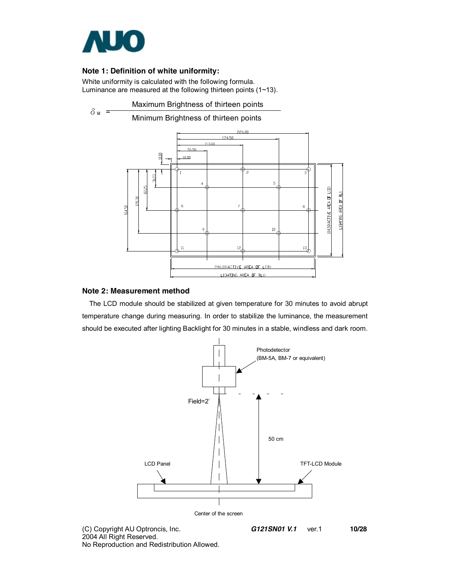

### **Note 1: Definition of white uniformity:**

White uniformity is calculated with the following formula. Luminance are measured at the following thirteen points (1~13).



#### **Note 2: Measurement method**

The LCD module should be stabilized at given temperature for 30 minutes to avoid abrupt temperature change during measuring. In order to stabilize the luminance, the measurement should be executed after lighting Backlight for 30 minutes in a stable, windless and dark room.



2004 All Right Reserved. No Reproduction and Redistribution Allowed.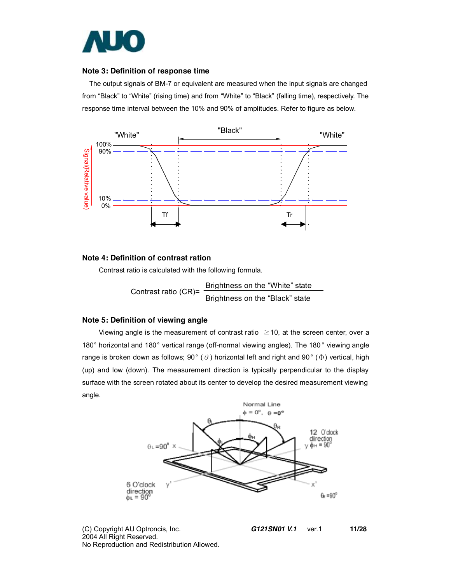

#### **Note 3: Definition of response time**

The output signals of BM-7 or equivalent are measured when the input signals are changed from "Black" to "White" (rising time) and from "White" to "Black" (falling time), respectively. The response time interval between the 10% and 90% of amplitudes. Refer to figure as below.



#### **Note 4: Definition of contrast ration**

Contrast ratio is calculated with the following formula.

Contrast ratio (CR)= Brightness on the "White" state Brightness on the "Black" state

#### **Note 5: Definition of viewing angle**

Viewing angle is the measurement of contrast ratio  $\geq$  10, at the screen center, over a 180° horizontal and 180° vertical range (off-normal viewing angles). The 180 ° viewing angle range is broken down as follows; 90° ( $\theta$ ) horizontal left and right and 90° ( $\Phi$ ) vertical, high (up) and low (down). The measurement direction is typically perpendicular to the display surface with the screen rotated about its center to develop the desired measurement viewing angle.



(C) Copyright AU Optroncis, Inc.*G121SN01 V.1*ver.1 **11/28**  2004 All Right Reserved. No Reproduction and Redistribution Allowed.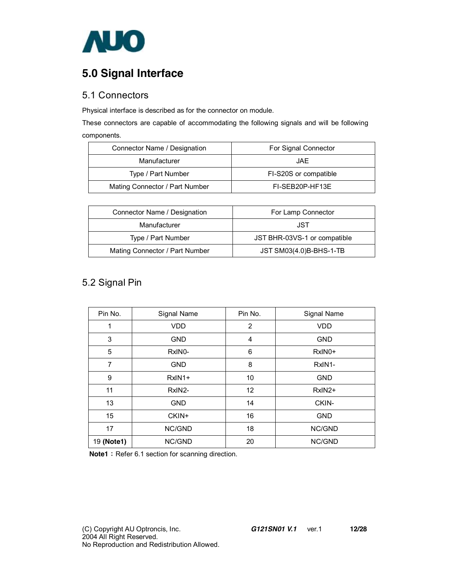

# **5.0 Signal Interface**

### 5.1 Connectors

Physical interface is described as for the connector on module.

These connectors are capable of accommodating the following signals and will be following components.

| Connector Name / Designation   | For Signal Connector  |
|--------------------------------|-----------------------|
| Manufacturer                   | JAF.                  |
| Type / Part Number             | FI-S20S or compatible |
| Mating Connector / Part Number | FI-SEB20P-HF13E       |

| Connector Name / Designation   | For Lamp Connector           |
|--------------------------------|------------------------------|
| Manufacturer                   | JST                          |
| Type / Part Number             | JST BHR-03VS-1 or compatible |
| Mating Connector / Part Number | JST SM03(4.0)B-BHS-1-TB      |

## 5.2 Signal Pin

| Pin No.    | Signal Name         | Pin No.           | Signal Name       |
|------------|---------------------|-------------------|-------------------|
| 1          | <b>VDD</b>          | 2                 | <b>VDD</b>        |
| 3          | <b>GND</b>          | 4                 | <b>GND</b>        |
| 5          | RxIN <sub>0</sub> - | 6                 | RxIN0+            |
| 7          | <b>GND</b>          | 8                 | RxIN <sub>1</sub> |
| 9          | $RxIN1+$            | 10                | <b>GND</b>        |
| 11         | RxIN2-              | $12 \overline{ }$ | $RxIN2+$          |
| 13         | <b>GND</b>          | 14                | CKIN-             |
| 15         | CKIN+               | 16                | <b>GND</b>        |
| 17         | NC/GND              | 18                | NC/GND            |
| 19 (Note1) | NC/GND              | 20                | NC/GND            |

**Note1**: Refer 6.1 section for scanning direction.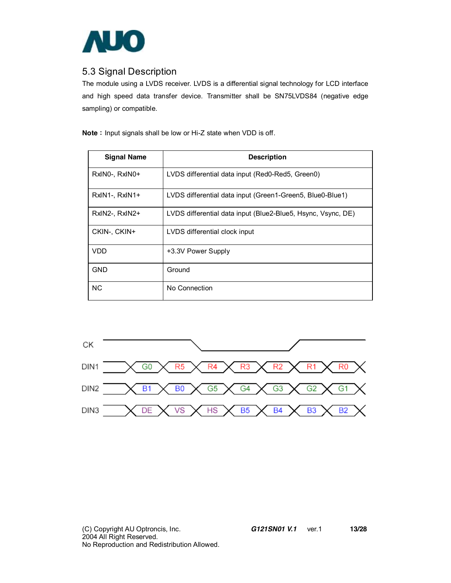

### 5.3 Signal Description

The module using a LVDS receiver. LVDS is a differential signal technology for LCD interface and high speed data transfer device. Transmitter shall be SN75LVDS84 (negative edge sampling) or compatible.

**Note**: Input signals shall be low or Hi-Z state when VDD is off.

| <b>Signal Name</b> | <b>Description</b>                                           |
|--------------------|--------------------------------------------------------------|
| RxINO-, RxINO+     | LVDS differential data input (Red0-Red5, Green0)             |
| RxIN1-, RxIN1+     | LVDS differential data input (Green1-Green5, Blue0-Blue1)    |
| RxIN2-, RxIN2+     | LVDS differential data input (Blue2-Blue5, Hsync, Vsync, DE) |
| CKIN-, CKIN+       | LVDS differential clock input                                |
| VDD.               | +3.3V Power Supply                                           |
| GND                | Ground                                                       |
| <b>NC</b>          | No Connection                                                |

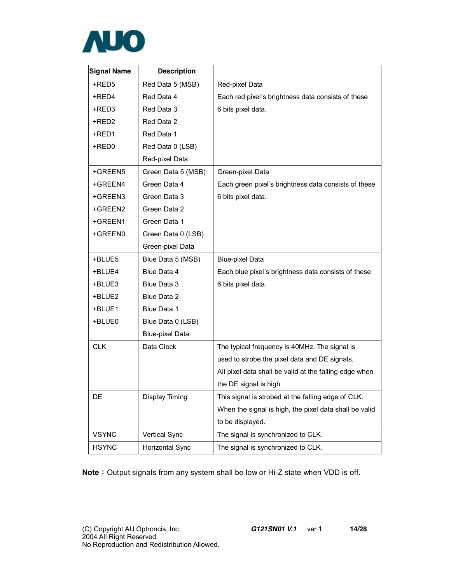

| <b>Signal Name</b> | <b>Description</b>     |                                                        |
|--------------------|------------------------|--------------------------------------------------------|
| +RED5              | Red Data 5 (MSB)       | Red-pixel Data                                         |
| +RED4              | Red Data 4             | Each red pixel's brightness data consists of these     |
| +RED3              | Red Data 3             | 6 bits pixel data.                                     |
| +RED2              | Red Data 2             |                                                        |
| +RED1              | Red Data 1             |                                                        |
| +RED0              | Red Data 0 (LSB)       |                                                        |
|                    | Red-pixel Data         |                                                        |
| +GREEN5            | Green Data 5 (MSB)     | Green-pixel Data                                       |
| +GREEN4            | Green Data 4           | Each green pixel's brightness data consists of these   |
| +GREEN3            | Green Data 3           | 6 bits pixel data.                                     |
| +GREEN2            | Green Data 2           |                                                        |
| +GREEN1            | Green Data 1           |                                                        |
| +GREEN0            | Green Data 0 (LSB)     |                                                        |
|                    | Green-pixel Data       |                                                        |
| +BLUE5             | Blue Data 5 (MSB)      | <b>Blue-pixel Data</b>                                 |
| +BLUE4             | Blue Data 4            | Each blue pixel's brightness data consists of these    |
| +BLUE3             | Blue Data 3            | 6 bits pixel data.                                     |
| +BLUE2             | Blue Data 2            |                                                        |
| +BLUE1             | Blue Data 1            |                                                        |
| +BLUE0             | Blue Data 0 (LSB)      |                                                        |
|                    | <b>Blue-pixel Data</b> |                                                        |
| <b>CLK</b>         | Data Clock             | The typical frequency is 40MHz. The signal is          |
|                    |                        | used to strobe the pixel data and DE signals.          |
|                    |                        | All pixel data shall be valid at the falling edge when |
|                    |                        | the DE signal is high.                                 |
| DE                 | Display Timing         | This signal is strobed at the falling edge of CLK.     |
|                    |                        | When the signal is high, the pixel data shall be valid |
|                    |                        | to be displayed.                                       |
| <b>VSYNC</b>       | Vertical Sync          | The signal is synchronized to CLK.                     |
| <b>HSYNC</b>       | Horizontal Sync        | The signal is synchronized to CLK.                     |

**Note**: Output signals from any system shall be low or Hi-Z state when VDD is off.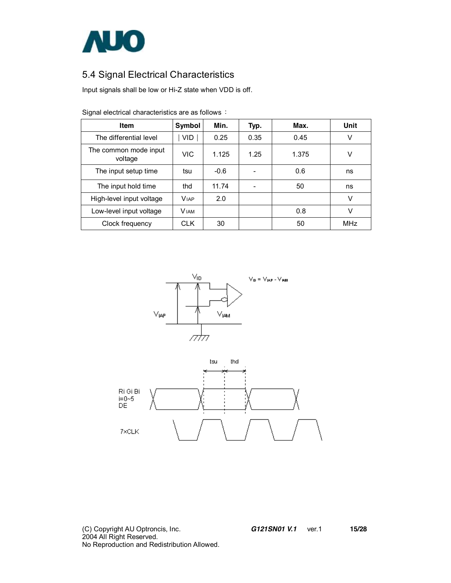

## 5.4 Signal Electrical Characteristics

Input signals shall be low or Hi-Z state when VDD is off.

| Item                             | Symbol       | Min.   | Typ. | Max.  | Unit |
|----------------------------------|--------------|--------|------|-------|------|
| The differential level           | VID.         | 0.25   | 0.35 | 0.45  | V    |
| The common mode input<br>voltage | VIC          | 1.125  | 1.25 | 1.375 | V    |
| The input setup time             | tsu          | $-0.6$ |      | 0.6   | ns   |
| The input hold time              | thd          | 11.74  |      | 50    | ns   |
| High-level input voltage         | <b>VIAP</b>  | 2.0    |      |       | V    |
| Low-level input voltage          | <b>V</b> IAM |        |      | 0.8   | V    |
| Clock frequency                  | <b>CLK</b>   | 30     |      | 50    | MHz  |

Signal electrical characteristics are as follows:





(C) Copyright AU Optroncis, Inc.*G121SN01 V.1*ver.1 **15/28**  2004 All Right Reserved. No Reproduction and Redistribution Allowed.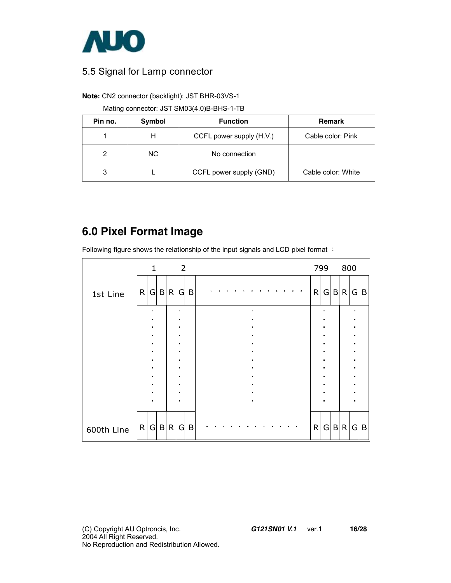

### 5.5 Signal for Lamp connector

**Note:** CN2 connector (backlight): JST BHR-03VS-1

Mating connector: JST SM03(4.0)B-BHS-1-TB

| Pin no. | Symbol    | <b>Function</b>          | Remark             |
|---------|-----------|--------------------------|--------------------|
|         | н         | CCFL power supply (H.V.) | Cable color: Pink  |
| 2       | <b>NC</b> | No connection            |                    |
| 3       |           | CCFL power supply (GND)  | Cable color: White |

# **6.0 Pixel Format Image**

Following figure shows the relationship of the input signals and LCD pixel format :

|            |   | $\mathbf{1}$   |   |              | 2              |   |  |  |  |  |  |              | 799 |              | 800 |   |              |
|------------|---|----------------|---|--------------|----------------|---|--|--|--|--|--|--------------|-----|--------------|-----|---|--------------|
| 1st Line   | R | G              |   | B R          | G              | B |  |  |  |  |  | $\mathsf{R}$ | G   | $\mathsf{B}$ | R.  | G | B            |
|            |   |                |   |              |                |   |  |  |  |  |  |              |     |              |     |   |              |
|            |   |                |   |              |                |   |  |  |  |  |  |              |     |              |     |   |              |
|            |   |                |   |              |                |   |  |  |  |  |  |              |     |              |     |   |              |
|            |   | $\blacksquare$ |   |              | $\blacksquare$ |   |  |  |  |  |  |              |     |              |     | п |              |
|            |   |                |   |              |                |   |  |  |  |  |  |              |     |              |     |   |              |
|            |   |                |   |              |                |   |  |  |  |  |  |              |     |              |     |   |              |
|            |   |                |   |              |                |   |  |  |  |  |  |              |     |              |     |   |              |
|            |   |                |   |              |                |   |  |  |  |  |  |              |     |              |     |   |              |
|            |   |                |   |              |                |   |  |  |  |  |  |              |     |              |     |   |              |
|            |   |                |   |              |                |   |  |  |  |  |  |              |     |              |     |   |              |
|            |   |                |   |              |                |   |  |  |  |  |  |              |     |              |     |   |              |
| 600th Line | R | G              | B | $\mathsf{R}$ | G              | B |  |  |  |  |  | R            | G   |              | B R | G | $\mathsf{B}$ |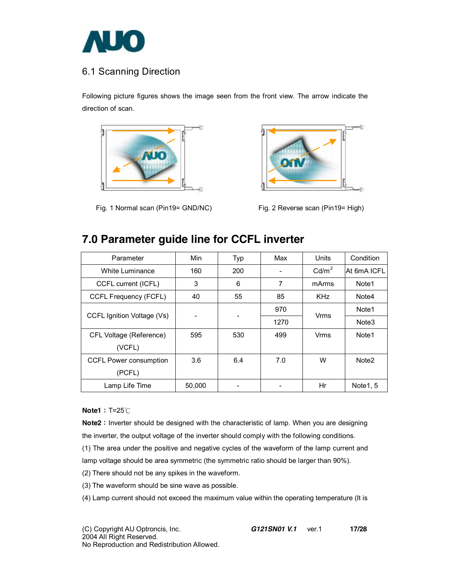

## 6.1 Scanning Direction

Following picture figures shows the image seen from the front view. The arrow indicate the direction of scan.



Fig. 1 Normal scan (Pin19= GND/NC) Fig. 2 Reverse scan (Pin19= High)



## **7.0 Parameter guide line for CCFL inverter**

| Parameter                     | Min    | Typ | Max  | Units             | Condition         |
|-------------------------------|--------|-----|------|-------------------|-------------------|
| White Luminance               | 160    | 200 |      | Cd/m <sup>2</sup> | At 6mA ICFL       |
| CCFL current (ICFL)           | 3      | 6   | 7    | mArms             | Note <sub>1</sub> |
| CCFL Frequency (FCFL)         | 40     | 55  | 85   | <b>KHz</b>        | Note4             |
| CCFL Ignition Voltage (Vs)    |        |     | 970  | Vrms              | Note1             |
|                               | ۰      |     | 1270 |                   | Note <sub>3</sub> |
| CFL Voltage (Reference)       | 595    | 530 | 499  | Vrms              | Note1             |
| (VCFL)                        |        |     |      |                   |                   |
| <b>CCFL Power consumption</b> | 3.6    | 6.4 | 7.0  | W                 | Note <sub>2</sub> |
| (PCFL)                        |        |     |      |                   |                   |
| Lamp Life Time                | 50,000 |     |      | Hr                | Note 1, 5         |

**Note1**: T=25℃

**Note2**: Inverter should be designed with the characteristic of lamp. When you are designing the inverter, the output voltage of the inverter should comply with the following conditions.

(1) The area under the positive and negative cycles of the waveform of the lamp current and

lamp voltage should be area symmetric (the symmetric ratio should be larger than 90%).

(2) There should not be any spikes in the waveform.

(3) The waveform should be sine wave as possible.

(4) Lamp current should not exceed the maximum value within the operating temperature (It is

(C) Copyright AU Optroncis, Inc.*G121SN01 V.1*ver.1 **17/28** 

2004 All Right Reserved.

No Reproduction and Redistribution Allowed.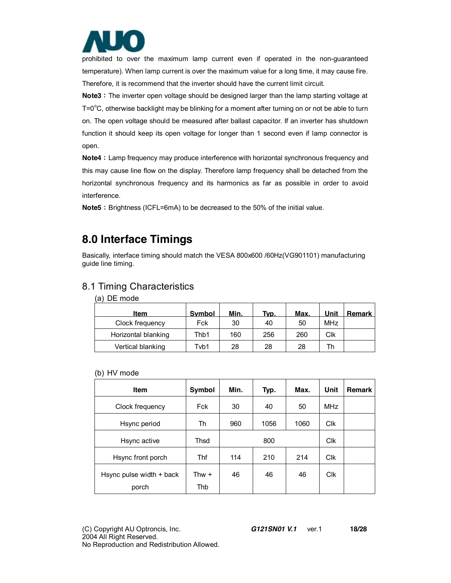

prohibited to over the maximum lamp current even if operated in the non-guaranteed temperature). When lamp current is over the maximum value for a long time, it may cause fire. Therefore, it is recommend that the inverter should have the current limit circuit.

**Note3**: The inverter open voltage should be designed larger than the lamp starting voltage at  $T = 0^{\circ}$ C, otherwise backlight may be blinking for a moment after turning on or not be able to turn on. The open voltage should be measured after ballast capacitor. If an inverter has shutdown function it should keep its open voltage for longer than 1 second even if lamp connector is open.

**Note4**: Lamp frequency may produce interference with horizontal synchronous frequency and this may cause line flow on the display. Therefore lamp frequency shall be detached from the horizontal synchronous frequency and its harmonics as far as possible in order to avoid interference.

**Note5**: Brightness (ICFL=6mA) to be decreased to the 50% of the initial value.

## **8.0 Interface Timings**

Basically, interface timing should match the VESA 800x600 /60Hz(VG901101) manufacturing guide line timing.

### 8.1 Timing Characteristics

|  | (a) DE mode |
|--|-------------|
|  |             |

| Item                | Symbol | Min. | Typ. | Max. | Unit       | <b>Remark</b> |
|---------------------|--------|------|------|------|------------|---------------|
| Clock frequency     | Fck    | 30   | 40   | 50   | <b>MHz</b> |               |
| Horizontal blanking | Thb1   | 160  | 256  | 260  | Clk        |               |
| Vertical blanking   | Tvb1   | 28   | 28   | 28   | Th         |               |

#### (b) HV mode

| Item                     | Symbol | Min. | Typ. | Max. | Unit       | <b>Remark</b> |
|--------------------------|--------|------|------|------|------------|---------------|
| Clock frequency          | Fck    | 30   | 40   | 50   | <b>MHz</b> |               |
| Hsync period             | Th     | 960  | 1056 | 1060 | <b>CIK</b> |               |
| Hsync active             | Thsd   |      | 800  |      | <b>Clk</b> |               |
| Hsync front porch        | Thf    | 114  | 210  | 214  | <b>Clk</b> |               |
| Hsync pulse width + back | Thw +  | 46   | 46   | 46   | <b>CIK</b> |               |
| porch                    | Thb    |      |      |      |            |               |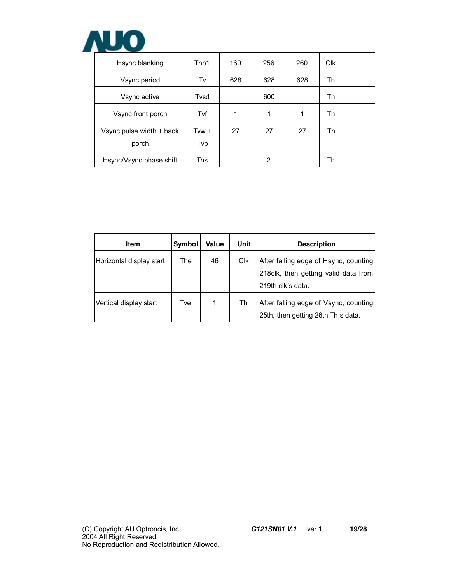

| Hsync blanking           | Thb1    | 160 | 256 | 260 | <b>C<sub>IK</sub></b> |  |
|--------------------------|---------|-----|-----|-----|-----------------------|--|
| Vsync period             | Tv      | 628 | 628 | 628 | Th                    |  |
| Vsync active             | Tvsd    |     | Th  |     |                       |  |
| Vsync front porch        | Tvf     | 1   | 1   | 1   | Th                    |  |
| Vsync pulse width + back | Tvw $+$ | 27  | 27  | 27  | Th                    |  |
| porch                    | Tvb     |     |     |     |                       |  |
| Hsync/Vsync phase shift  | Ths     |     | 2   |     | Th                    |  |

| Item                     | Symbol | Value | Unit       | <b>Description</b>                                                                                 |
|--------------------------|--------|-------|------------|----------------------------------------------------------------------------------------------------|
| Horizontal display start | The    | 46    | <b>CIK</b> | After falling edge of Hsync, counting<br>218clk, then getting valid data from<br>219th clk's data. |
| Vertical display start   | Tve    | 1     | Th         | After falling edge of Vsync, counting<br>25th, then getting 26th Th's data.                        |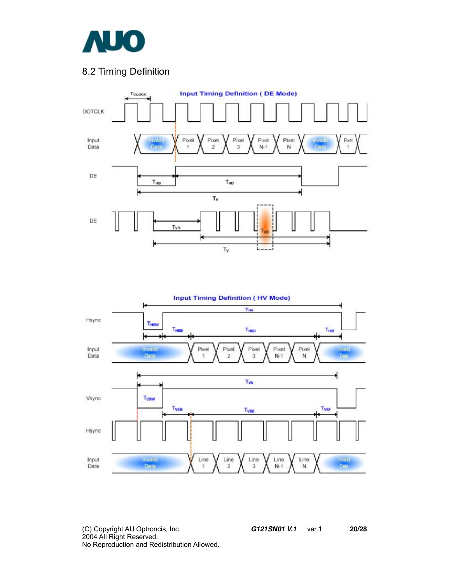

## 8.2 Timing Definition





(C) Copyright AU Optroncis, Inc.*G121SN01 V.1*ver.1 **20/28**  2004 All Right Reserved. No Reproduction and Redistribution Allowed.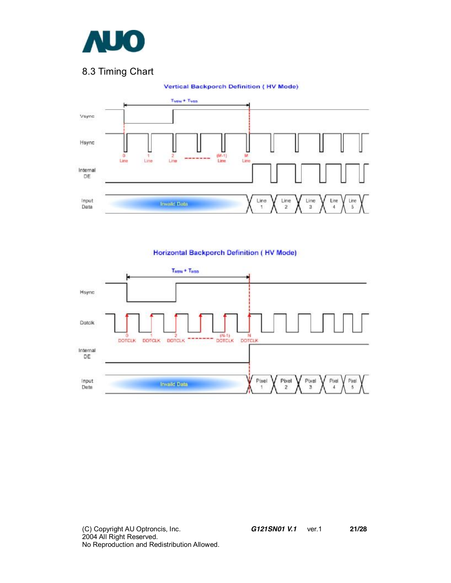

## 8.3 Timing Chart



#### **Vertical Backporch Definition (HV Mode)**

#### **Horizontal Backporch Definition (HV Mode)**

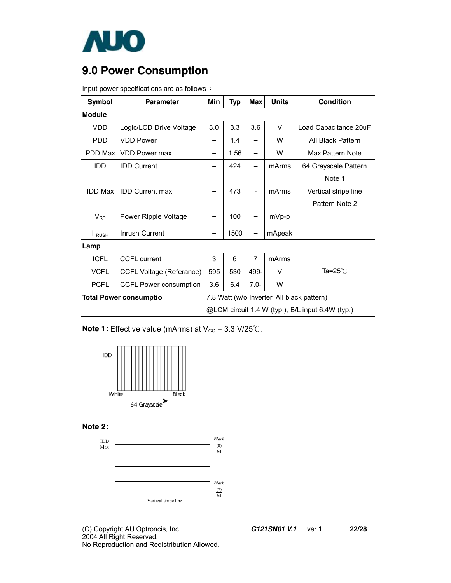

# **9.0 Power Consumption**

Input power specifications are as follows:

| Symbol                       | <b>Parameter</b>                | Min                                              | <b>Typ</b> | <b>Max</b>                                 | <b>Units</b> | <b>Condition</b>      |  |  |  |
|------------------------------|---------------------------------|--------------------------------------------------|------------|--------------------------------------------|--------------|-----------------------|--|--|--|
| Module                       |                                 |                                                  |            |                                            |              |                       |  |  |  |
| <b>VDD</b>                   | Logic/LCD Drive Voltage         | 3.0                                              | 3.3        | 3.6                                        | $\vee$       | Load Capacitance 20uF |  |  |  |
| <b>PDD</b>                   | <b>VDD Power</b>                |                                                  | 1.4        | -                                          | W            | All Black Pattern     |  |  |  |
| PDD Max                      | <b>VDD Power max</b>            |                                                  | 1.56       | -                                          | W            | Max Pattern Note      |  |  |  |
| <b>IDD</b>                   | <b>IDD Current</b>              |                                                  | 424        |                                            | mArms        | 64 Grayscale Pattern  |  |  |  |
|                              |                                 |                                                  |            |                                            |              | Note 1                |  |  |  |
| <b>IDD Max</b>               | <b>IDD Current max</b>          |                                                  | 473        | $\blacksquare$                             | mArms        | Vertical stripe line  |  |  |  |
|                              |                                 |                                                  |            |                                            |              | Pattern Note 2        |  |  |  |
| $V_{RP}$                     | Power Ripple Voltage            |                                                  | 100        |                                            | mVp-p        |                       |  |  |  |
| $\mathsf{I}_{\mathsf{RUSH}}$ | Inrush Current                  |                                                  | 1500       |                                            | mApeak       |                       |  |  |  |
| Lamp                         |                                 |                                                  |            |                                            |              |                       |  |  |  |
| <b>ICFL</b>                  | <b>CCFL current</b>             | 3                                                | 6          | $\overline{7}$                             | mArms        |                       |  |  |  |
| <b>VCFL</b>                  | <b>CCFL Voltage (Referance)</b> | 595                                              | 530        | 499-                                       | V            | Ta=25℃                |  |  |  |
| <b>PCFL</b>                  | <b>CCFL Power consumption</b>   | 3.6                                              | 6.4        | $7.0 -$                                    | W            |                       |  |  |  |
|                              | <b>Total Power consumptio</b>   |                                                  |            | 7.8 Watt (w/o Inverter, All black pattern) |              |                       |  |  |  |
|                              |                                 | @LCM circuit 1.4 W (typ.), B/L input 6.4W (typ.) |            |                                            |              |                       |  |  |  |

**Note 1:** Effective value (mArms) at V<sub>cc</sub> = 3.3 V/25℃.







(C) Copyright AU Optroncis, Inc.*G121SN01 V.1*ver.1 **22/28**  2004 All Right Reserved. No Reproduction and Redistribution Allowed.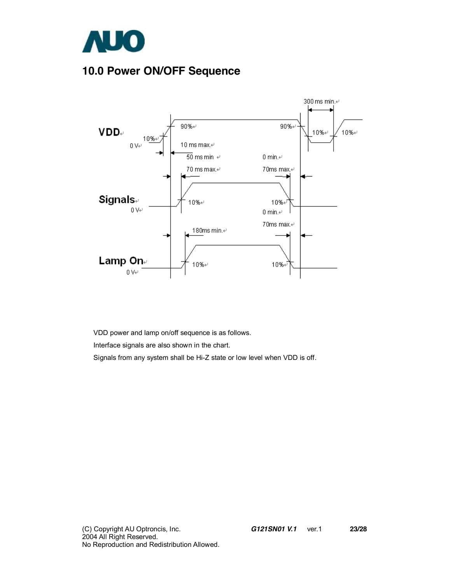

# **10.0 Power ON/OFF Sequence**



VDD power and lamp on/off sequence is as follows.

Interface signals are also shown in the chart.

Signals from any system shall be Hi-Z state or low level when VDD is off.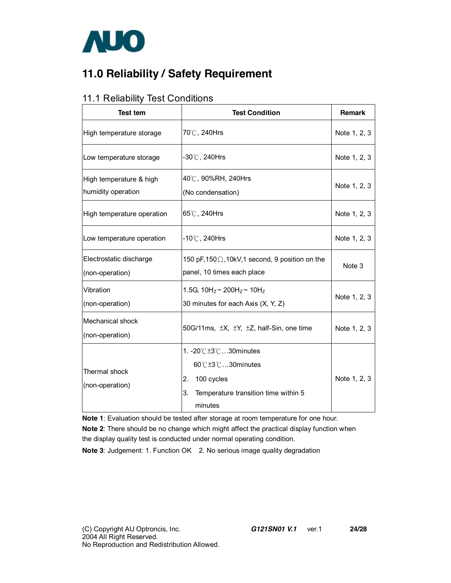

# **11.0 Reliability / Safety Requirement**

### 11.1 Reliability Test Conditions

| <b>Test tem</b>                               | <b>Test Condition</b>                                                                                               | <b>Remark</b> |
|-----------------------------------------------|---------------------------------------------------------------------------------------------------------------------|---------------|
| High temperature storage                      | 70℃, 240Hrs                                                                                                         | Note 1, 2, 3  |
| Low temperature storage                       | $-30^{\circ}$ C , 240Hrs                                                                                            | Note 1, 2, 3  |
| High temperature & high<br>humidity operation | 40℃, 90%RH, 240Hrs<br>(No condensation)                                                                             | Note 1, 2, 3  |
| High temperature operation                    | 65℃, 240Hrs                                                                                                         | Note 1, 2, 3  |
| Low temperature operation                     | $-10^{\circ}$ C, 240Hrs                                                                                             | Note 1, 2, 3  |
| Electrostatic discharge<br>(non-operation)    | 150 pF, 150 $\Omega$ , 10kV, 1 second, 9 position on the<br>panel, 10 times each place                              | Note 3        |
| Vibration<br>(non-operation)                  | 1.5G, $10H_z \sim 200H_z \sim 10H_z$<br>30 minutes for each Axis (X, Y, Z)                                          | Note 1, 2, 3  |
| <b>Mechanical shock</b><br>(non-operation)    | 50G/11ms, ±X, ±Y, ±Z, half-Sin, one time                                                                            | Note 1, 2, 3  |
| Thermal shock<br>(non-operation)              | 1. -20℃±3℃30minutes<br>60℃±3℃30minutes<br>2.<br>100 cycles<br>3.<br>Temperature transition time within 5<br>minutes | Note 1, 2, 3  |

**Note 1**: Evaluation should be tested after storage at room temperature for one hour.

**Note 2**: There should be no change which might affect the practical display function when the display quality test is conducted under normal operating condition.

**Note 3**: Judgement: 1. Function OK 2. No serious image quality degradation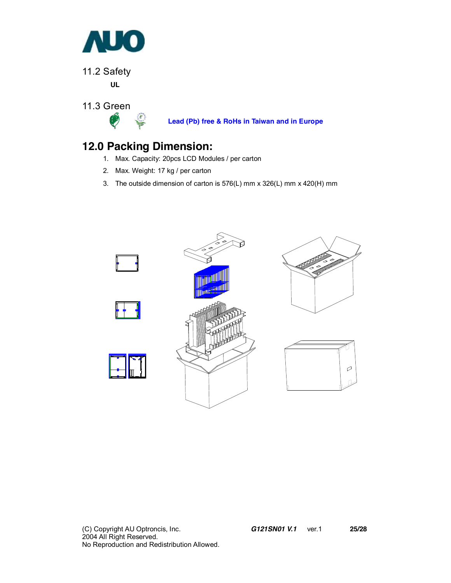

11.2 Safety

**UL** 

11.3 Green



**Lead (Pb) free & RoHs in Taiwan and in Europe**

# **12.0 Packing Dimension:**

- 1. Max. Capacity: 20pcs LCD Modules / per carton
- 2. Max. Weight: 17 kg / per carton
- 3. The outside dimension of carton is 576(L) mm x 326(L) mm x 420(H) mm

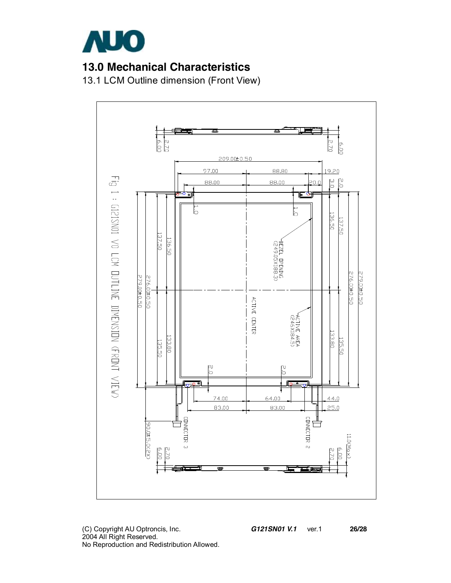

## **13.0 Mechanical Characteristics**

13.1 LCM Outline dimension (Front View)



(C) Copyright AU Optroncis, Inc.*G121SN01 V.1*ver.1 **26/28**  2004 All Right Reserved. No Reproduction and Redistribution Allowed.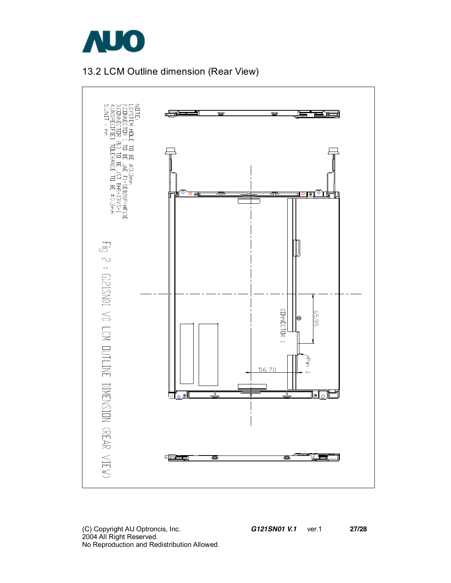